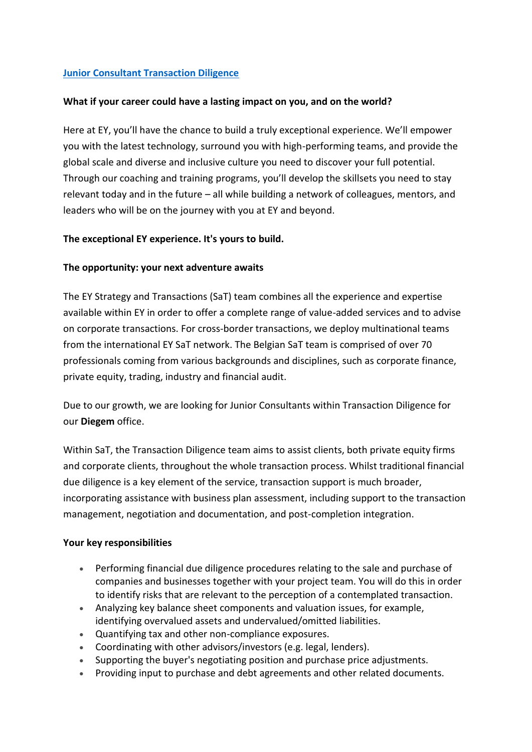# **[Junior Consultant Transaction Diligence](https://eyglobal.yello.co/jobs/v_xiQZkgtk3ml2jmsyXFvg)**

### **What if your career could have a lasting impact on you, and on the world?**

Here at EY, you'll have the chance to build a truly exceptional experience. We'll empower you with the latest technology, surround you with high-performing teams, and provide the global scale and diverse and inclusive culture you need to discover your full potential. Through our coaching and training programs, you'll develop the skillsets you need to stay relevant today and in the future – all while building a network of colleagues, mentors, and leaders who will be on the journey with you at EY and beyond.

### **The exceptional EY experience. It's yours to build.**

### **The opportunity: your next adventure awaits**

The EY Strategy and Transactions (SaT) team combines all the experience and expertise available within EY in order to offer a complete range of value-added services and to advise on corporate transactions. For cross-border transactions, we deploy multinational teams from the international EY SaT network. The Belgian SaT team is comprised of over 70 professionals coming from various backgrounds and disciplines, such as corporate finance, private equity, trading, industry and financial audit.

Due to our growth, we are looking for Junior Consultants within Transaction Diligence for our **Diegem** office.

Within SaT, the Transaction Diligence team aims to assist clients, both private equity firms and corporate clients, throughout the whole transaction process. Whilst traditional financial due diligence is a key element of the service, transaction support is much broader, incorporating assistance with business plan assessment, including support to the transaction management, negotiation and documentation, and post-completion integration.

#### **Your key responsibilities**

- Performing financial due diligence procedures relating to the sale and purchase of companies and businesses together with your project team. You will do this in order to identify risks that are relevant to the perception of a contemplated transaction.
- Analyzing key balance sheet components and valuation issues, for example, identifying overvalued assets and undervalued/omitted liabilities.
- Quantifying tax and other non-compliance exposures.
- Coordinating with other advisors/investors (e.g. legal, lenders).
- Supporting the buyer's negotiating position and purchase price adjustments.
- Providing input to purchase and debt agreements and other related documents.